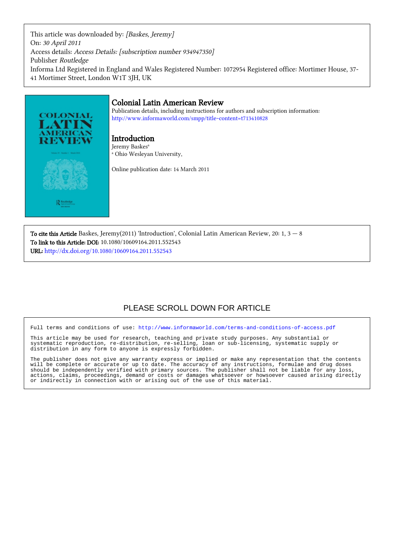This article was downloaded by: [Baskes, Jeremy] On: 30 April 2011 Access details: Access Details: [subscription number 934947350] Publisher Routledge Informa Ltd Registered in England and Wales Registered Number: 1072954 Registered office: Mortimer House, 37- 41 Mortimer Street, London W1T 3JH, UK

# **COLONIAL** R Rout

#### Colonial Latin American Review

Publication details, including instructions for authors and subscription information: <http://www.informaworld.com/smpp/title~content=t713410828>

Introduction Jeremy Baskes<sup>a</sup> a Ohio Wesleyan University,

Online publication date: 14 March 2011

To cite this Article Baskes, Jeremy(2011) 'Introduction', Colonial Latin American Review, 20: 1,  $3 - 8$ To link to this Article: DOI: 10.1080/10609164.2011.552543 URL: <http://dx.doi.org/10.1080/10609164.2011.552543>

### PLEASE SCROLL DOWN FOR ARTICLE

Full terms and conditions of use:<http://www.informaworld.com/terms-and-conditions-of-access.pdf>

This article may be used for research, teaching and private study purposes. Any substantial or systematic reproduction, re-distribution, re-selling, loan or sub-licensing, systematic supply or distribution in any form to anyone is expressly forbidden.

The publisher does not give any warranty express or implied or make any representation that the contents will be complete or accurate or up to date. The accuracy of any instructions, formulae and drug doses should be independently verified with primary sources. The publisher shall not be liable for any loss, actions, claims, proceedings, demand or costs or damages whatsoever or howsoever caused arising directly or indirectly in connection with or arising out of the use of this material.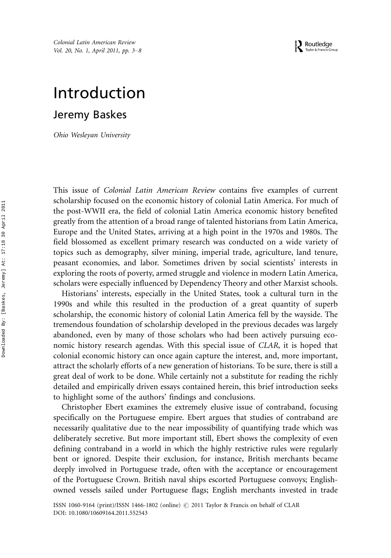## Introduction

Jeremy Baskes

Ohio Wesleyan University

This issue of Colonial Latin American Review contains five examples of current scholarship focused on the economic history of colonial Latin America. For much of the post-WWII era, the field of colonial Latin America economic history benefited greatly from the attention of a broad range of talented historians from Latin America, Europe and the United States, arriving at a high point in the 1970s and 1980s. The field blossomed as excellent primary research was conducted on a wide variety of topics such as demography, silver mining, imperial trade, agriculture, land tenure, peasant economies, and labor. Sometimes driven by social scientists' interests in exploring the roots of poverty, armed struggle and violence in modern Latin America, scholars were especially influenced by Dependency Theory and other Marxist schools.

Historians' interests, especially in the United States, took a cultural turn in the 1990s and while this resulted in the production of a great quantity of superb scholarship, the economic history of colonial Latin America fell by the wayside. The tremendous foundation of scholarship developed in the previous decades was largely abandoned, even by many of those scholars who had been actively pursuing economic history research agendas. With this special issue of CLAR, it is hoped that colonial economic history can once again capture the interest, and, more important, attract the scholarly efforts of a new generation of historians. To be sure, there is still a great deal of work to be done. While certainly not a substitute for reading the richly detailed and empirically driven essays contained herein, this brief introduction seeks to highlight some of the authors' findings and conclusions.

Christopher Ebert examines the extremely elusive issue of contraband, focusing specifically on the Portuguese empire. Ebert argues that studies of contraband are necessarily qualitative due to the near impossibility of quantifying trade which was deliberately secretive. But more important still, Ebert shows the complexity of even defining contraband in a world in which the highly restrictive rules were regularly bent or ignored. Despite their exclusion, for instance, British merchants became deeply involved in Portuguese trade, often with the acceptance or encouragement of the Portuguese Crown. British naval ships escorted Portuguese convoys; Englishowned vessels sailed under Portuguese flags; English merchants invested in trade

ISSN 1060-9164 (print)/ISSN 1466-1802 (online)  $\odot$  2011 Taylor & Francis on behalf of CLAR DOI: 10.1080/10609164.2011.552543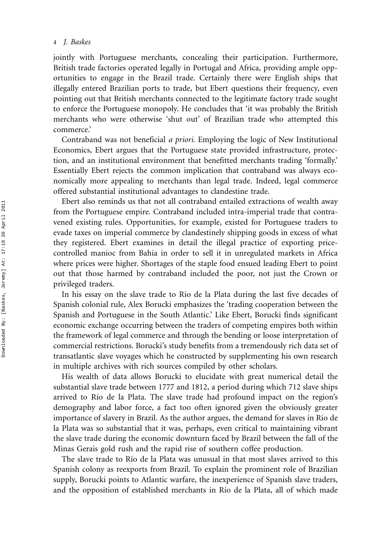jointly with Portuguese merchants, concealing their participation. Furthermore, British trade factories operated legally in Portugal and Africa, providing ample opportunities to engage in the Brazil trade. Certainly there were English ships that illegally entered Brazilian ports to trade, but Ebert questions their frequency, even pointing out that British merchants connected to the legitimate factory trade sought to enforce the Portuguese monopoly. He concludes that 'it was probably the British merchants who were otherwise 'shut out' of Brazilian trade who attempted this commerce.'

Contraband was not beneficial a priori. Employing the logic of New Institutional Economics, Ebert argues that the Portuguese state provided infrastructure, protection, and an institutional environment that benefitted merchants trading 'formally.' Essentially Ebert rejects the common implication that contraband was always economically more appealing to merchants than legal trade. Indeed, legal commerce offered substantial institutional advantages to clandestine trade.

Ebert also reminds us that not all contraband entailed extractions of wealth away from the Portuguese empire. Contraband included intra-imperial trade that contravened existing rules. Opportunities, for example, existed for Portuguese traders to evade taxes on imperial commerce by clandestinely shipping goods in excess of what they registered. Ebert examines in detail the illegal practice of exporting pricecontrolled manioc from Bahia in order to sell it in unregulated markets in Africa where prices were higher. Shortages of the staple food ensued leading Ebert to point out that those harmed by contraband included the poor, not just the Crown or privileged traders.

In his essay on the slave trade to Río de la Plata during the last five decades of Spanish colonial rule, Alex Borucki emphasizes the 'trading cooperation between the Spanish and Portuguese in the South Atlantic.' Like Ebert, Borucki finds significant economic exchange occurring between the traders of competing empires both within the framework of legal commerce and through the bending or loose interpretation of commercial restrictions. Borucki's study benefits from a tremendously rich data set of transatlantic slave voyages which he constructed by supplementing his own research in multiple archives with rich sources compiled by other scholars.

His wealth of data allows Borucki to elucidate with great numerical detail the substantial slave trade between 1777 and 1812, a period during which 712 slave ships arrived to Río de la Plata. The slave trade had profound impact on the region's demography and labor force, a fact too often ignored given the obviously greater importance of slavery in Brazil. As the author argues, the demand for slaves in Río de la Plata was so substantial that it was, perhaps, even critical to maintaining vibrant the slave trade during the economic downturn faced by Brazil between the fall of the Minas Gerais gold rush and the rapid rise of southern coffee production.

The slave trade to Río de la Plata was unusual in that most slaves arrived to this Spanish colony as reexports from Brazil. To explain the prominent role of Brazilian supply, Borucki points to Atlantic warfare, the inexperience of Spanish slave traders, and the opposition of established merchants in Río de la Plata, all of which made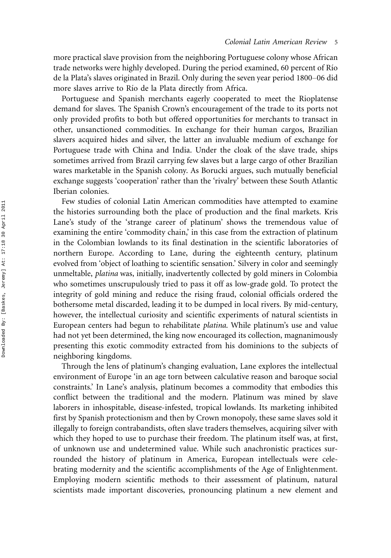more practical slave provision from the neighboring Portuguese colony whose African trade networks were highly developed. During the period examined, 60 percent of Río de la Plata's slaves originated in Brazil. Only during the seven year period 1800–06 did more slaves arrive to Río de la Plata directly from Africa.

Portuguese and Spanish merchants eagerly cooperated to meet the Rioplatense demand for slaves. The Spanish Crown's encouragement of the trade to its ports not only provided profits to both but offered opportunities for merchants to transact in other, unsanctioned commodities. In exchange for their human cargos, Brazilian slavers acquired hides and silver, the latter an invaluable medium of exchange for Portuguese trade with China and India. Under the cloak of the slave trade, ships sometimes arrived from Brazil carrying few slaves but a large cargo of other Brazilian wares marketable in the Spanish colony. As Borucki argues, such mutually beneficial exchange suggests 'cooperation' rather than the 'rivalry' between these South Atlantic Iberian colonies.

Few studies of colonial Latin American commodities have attempted to examine the histories surrounding both the place of production and the final markets. Kris Lane's study of the 'strange career of platinum' shows the tremendous value of examining the entire 'commodity chain,' in this case from the extraction of platinum in the Colombian lowlands to its final destination in the scientific laboratories of northern Europe. According to Lane, during the eighteenth century, platinum evolved from 'object of loathing to scientific sensation.' Silvery in color and seemingly unmeltable, platina was, initially, inadvertently collected by gold miners in Colombia who sometimes unscrupulously tried to pass it off as low-grade gold. To protect the integrity of gold mining and reduce the rising fraud, colonial officials ordered the bothersome metal discarded, leading it to be dumped in local rivers. By mid-century, however, the intellectual curiosity and scientific experiments of natural scientists in European centers had begun to rehabilitate platina. While platinum's use and value had not yet been determined, the king now encouraged its collection, magnanimously presenting this exotic commodity extracted from his dominions to the subjects of neighboring kingdoms.

Through the lens of platinum's changing evaluation, Lane explores the intellectual environment of Europe 'in an age torn between calculative reason and baroque social constraints.' In Lane's analysis, platinum becomes a commodity that embodies this conflict between the traditional and the modern. Platinum was mined by slave laborers in inhospitable, disease-infested, tropical lowlands. Its marketing inhibited first by Spanish protectionism and then by Crown monopoly, these same slaves sold it illegally to foreign contrabandists, often slave traders themselves, acquiring silver with which they hoped to use to purchase their freedom. The platinum itself was, at first, of unknown use and undetermined value. While such anachronistic practices surrounded the history of platinum in America, European intellectuals were celebrating modernity and the scientific accomplishments of the Age of Enlightenment. Employing modern scientific methods to their assessment of platinum, natural scientists made important discoveries, pronouncing platinum a new element and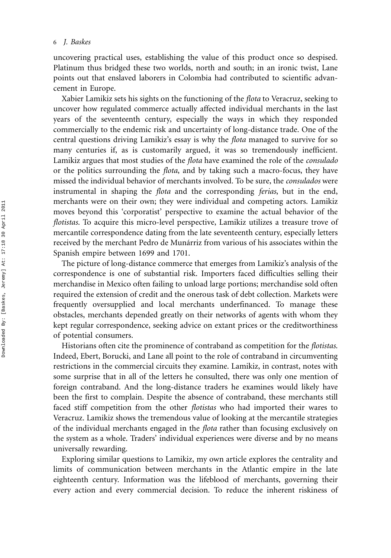uncovering practical uses, establishing the value of this product once so despised. Platinum thus bridged these two worlds, north and south; in an ironic twist, Lane points out that enslaved laborers in Colombia had contributed to scientific advancement in Europe.

Xabier Lamikiz sets his sights on the functioning of the flota to Veracruz, seeking to uncover how regulated commerce actually affected individual merchants in the last years of the seventeenth century, especially the ways in which they responded commercially to the endemic risk and uncertainty of long-distance trade. One of the central questions driving Lamikiz's essay is why the flota managed to survive for so many centuries if, as is customarily argued, it was so tremendously inefficient. Lamikiz argues that most studies of the flota have examined the role of the consulado or the politics surrounding the flota, and by taking such a macro-focus, they have missed the individual behavior of merchants involved. To be sure, the consulados were instrumental in shaping the *flota* and the corresponding *ferias*, but in the end, merchants were on their own; they were individual and competing actors. Lamikiz moves beyond this 'corporatist' perspective to examine the actual behavior of the flotistas. To acquire this micro-level perspective, Lamikiz utilizes a treasure trove of mercantile correspondence dating from the late seventeenth century, especially letters received by the merchant Pedro de Munárriz from various of his associates within the Spanish empire between 1699 and 1701.

The picture of long-distance commerce that emerges from Lamikiz's analysis of the correspondence is one of substantial risk. Importers faced difficulties selling their merchandise in Mexico often failing to unload large portions; merchandise sold often required the extension of credit and the onerous task of debt collection. Markets were frequently oversupplied and local merchants underfinanced. To manage these obstacles, merchants depended greatly on their networks of agents with whom they kept regular correspondence, seeking advice on extant prices or the creditworthiness of potential consumers.

Historians often cite the prominence of contraband as competition for the flotistas. Indeed, Ebert, Borucki, and Lane all point to the role of contraband in circumventing restrictions in the commercial circuits they examine. Lamikiz, in contrast, notes with some surprise that in all of the letters he consulted, there was only one mention of foreign contraband. And the long-distance traders he examines would likely have been the first to complain. Despite the absence of contraband, these merchants still faced stiff competition from the other *flotistas* who had imported their wares to Veracruz. Lamikiz shows the tremendous value of looking at the mercantile strategies of the individual merchants engaged in the flota rather than focusing exclusively on the system as a whole. Traders' individual experiences were diverse and by no means universally rewarding.

Exploring similar questions to Lamikiz, my own article explores the centrality and limits of communication between merchants in the Atlantic empire in the late eighteenth century. Information was the lifeblood of merchants, governing their every action and every commercial decision. To reduce the inherent riskiness of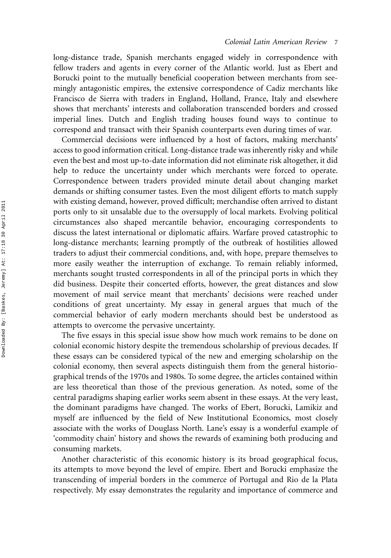long-distance trade, Spanish merchants engaged widely in correspondence with fellow traders and agents in every corner of the Atlantic world. Just as Ebert and Borucki point to the mutually beneficial cooperation between merchants from seemingly antagonistic empires, the extensive correspondence of Cadiz merchants like Francisco de Sierra with traders in England, Holland, France, Italy and elsewhere shows that merchants' interests and collaboration transcended borders and crossed imperial lines. Dutch and English trading houses found ways to continue to correspond and transact with their Spanish counterparts even during times of war.

Commercial decisions were influenced by a host of factors, making merchants' access to good information critical. Long-distance trade was inherently risky and while even the best and most up-to-date information did not eliminate risk altogether, it did help to reduce the uncertainty under which merchants were forced to operate. Correspondence between traders provided minute detail about changing market demands or shifting consumer tastes. Even the most diligent efforts to match supply with existing demand, however, proved difficult; merchandise often arrived to distant ports only to sit unsalable due to the oversupply of local markets. Evolving political circumstances also shaped mercantile behavior, encouraging correspondents to discuss the latest international or diplomatic affairs. Warfare proved catastrophic to long-distance merchants; learning promptly of the outbreak of hostilities allowed traders to adjust their commercial conditions, and, with hope, prepare themselves to more easily weather the interruption of exchange. To remain reliably informed, merchants sought trusted correspondents in all of the principal ports in which they did business. Despite their concerted efforts, however, the great distances and slow movement of mail service meant that merchants' decisions were reached under conditions of great uncertainty. My essay in general argues that much of the commercial behavior of early modern merchants should best be understood as attempts to overcome the pervasive uncertainty.

The five essays in this special issue show how much work remains to be done on colonial economic history despite the tremendous scholarship of previous decades. If these essays can be considered typical of the new and emerging scholarship on the colonial economy, then several aspects distinguish them from the general historiographical trends of the 1970s and 1980s. To some degree, the articles contained within are less theoretical than those of the previous generation. As noted, some of the central paradigms shaping earlier works seem absent in these essays. At the very least, the dominant paradigms have changed. The works of Ebert, Borucki, Lamikiz and myself are influenced by the field of New Institutional Economics, most closely associate with the works of Douglass North. Lane's essay is a wonderful example of 'commodity chain' history and shows the rewards of examining both producing and consuming markets.

Another characteristic of this economic history is its broad geographical focus, its attempts to move beyond the level of empire. Ebert and Borucki emphasize the transcending of imperial borders in the commerce of Portugal and Rio de la Plata respectively. My essay demonstrates the regularity and importance of commerce and